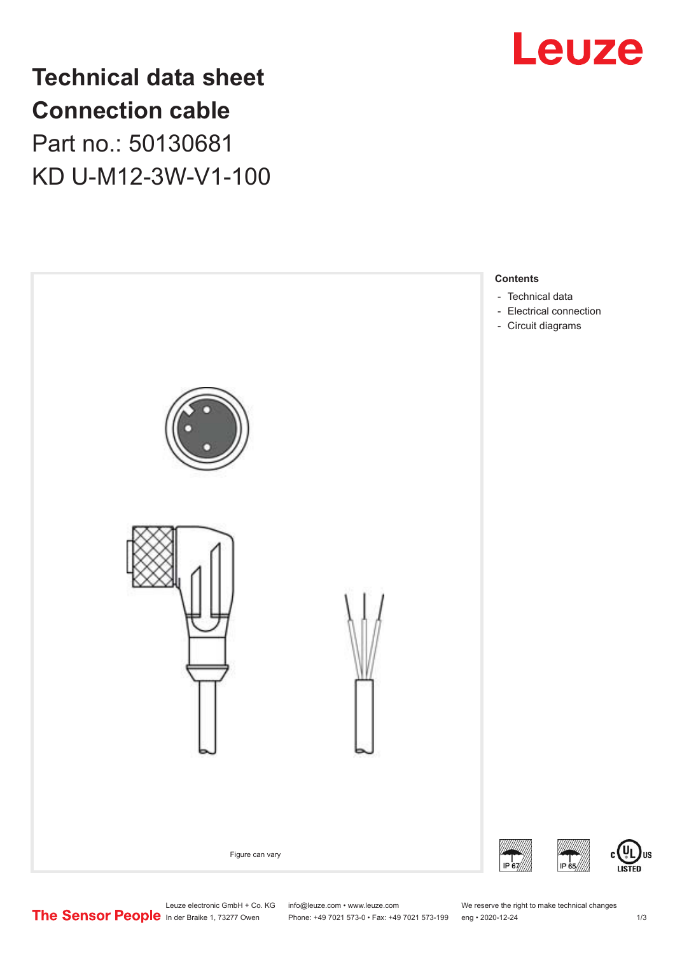

# **Technical data sheet Connection cable** Part no.: 50130681 KD U-M12-3W-V1-100



Leuze electronic GmbH + Co. KG info@leuze.com • www.leuze.com We reserve the right to make technical changes<br>
The Sensor People in der Braike 1, 73277 Owen Phone: +49 7021 573-0 • Fax: +49 7021 573-199 eng • 2020-12-24

Phone: +49 7021 573-0 • Fax: +49 7021 573-199 eng • 2020-12-24 1 2020-12-24

US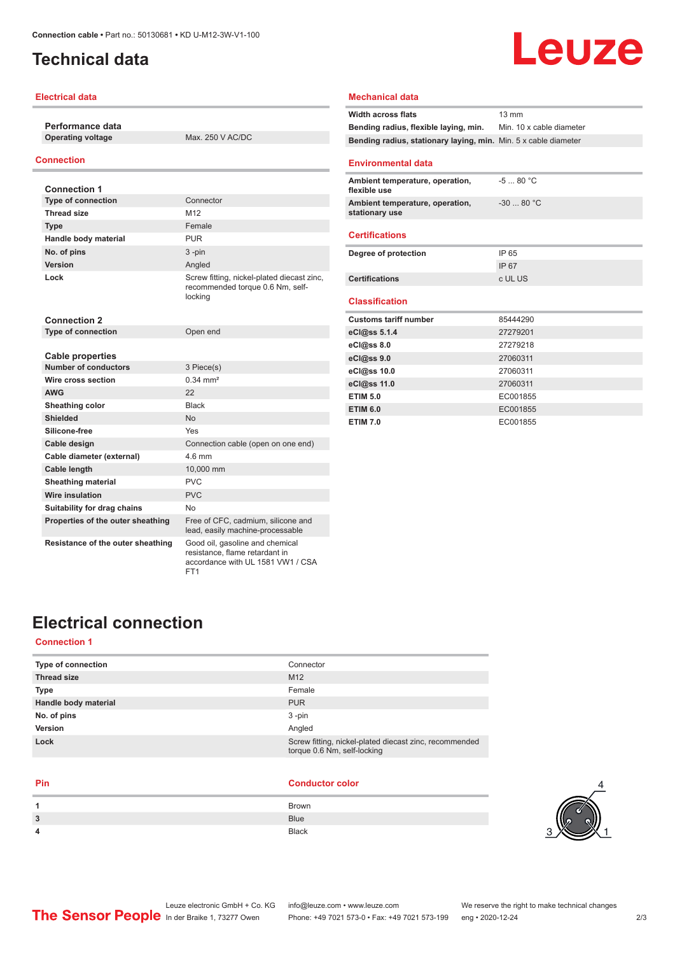### <span id="page-1-0"></span>**Technical data**

#### **Electrical data**

**Performance data**

**Operating voltage** Max. 250 V AC/DC

#### **Connection**

| <b>Connection 1</b>                                    |                                                                                                        |
|--------------------------------------------------------|--------------------------------------------------------------------------------------------------------|
| <b>Type of connection</b>                              | Connector                                                                                              |
| <b>Thread size</b>                                     | M <sub>12</sub>                                                                                        |
| <b>Type</b>                                            | Female                                                                                                 |
| Handle body material                                   | <b>PUR</b>                                                                                             |
| No. of pins                                            | $3 - pin$                                                                                              |
| Version                                                | Angled                                                                                                 |
| Lock                                                   | Screw fitting, nickel-plated diecast zinc,<br>recommended torque 0.6 Nm, self-<br>locking              |
| <b>Connection 2</b>                                    |                                                                                                        |
| <b>Type of connection</b>                              | Open end                                                                                               |
|                                                        |                                                                                                        |
| <b>Cable properties</b><br><b>Number of conductors</b> |                                                                                                        |
| Wire cross section                                     | 3 Piece(s)<br>$0.34 \, \text{mm}^2$                                                                    |
| <b>AWG</b>                                             | 22                                                                                                     |
|                                                        |                                                                                                        |
| Sheathing color                                        | <b>Black</b>                                                                                           |
| Shielded                                               | <b>No</b>                                                                                              |
| Silicone-free                                          | Yes                                                                                                    |
| Cable design                                           | Connection cable (open on one end)                                                                     |
| Cable diameter (external)                              | 4.6 mm                                                                                                 |
| <b>Cable length</b>                                    | 10,000 mm                                                                                              |
| <b>Sheathing material</b>                              | PVC                                                                                                    |
| <b>Wire insulation</b>                                 | PVC                                                                                                    |
| Suitability for drag chains                            | No                                                                                                     |
| Properties of the outer sheathing                      | Free of CFC, cadmium, silicone and<br>lead, easily machine-processable                                 |
| Resistance of the outer sheathing                      | Good oil, gasoline and chemical<br>resistance, flame retardant in<br>accordance with UL 1581 VW1 / CSA |

FT<sub>1</sub>

#### **Mechanical data**

| <b>Width across flats</b>                                       | $13 \text{ mm}$          |
|-----------------------------------------------------------------|--------------------------|
| Bending radius, flexible laying, min.                           | Min. 10 x cable diameter |
| Bending radius, stationary laying, min. Min. 5 x cable diameter |                          |
| <b>Environmental data</b>                                       |                          |
| Ambient temperature, operation,<br>flexible use                 | $-580 °C$                |
| Ambient temperature, operation,<br>stationary use               | $-3080 °C$               |
| <b>Certifications</b>                                           |                          |
| Degree of protection                                            | IP 65                    |
|                                                                 | IP 67                    |
| <b>Certifications</b>                                           | c UL US                  |
| <b>Classification</b>                                           |                          |
| <b>Customs tariff number</b>                                    | 85444290                 |
| eCl@ss 5.1.4                                                    | 27279201                 |
| eCl@ss 8.0                                                      | 27279218                 |
| eCl@ss 9.0                                                      | 27060311                 |
| eCl@ss 10.0                                                     | 27060311                 |
| eCl@ss 11.0                                                     | 27060311                 |
| <b>ETIM 5.0</b>                                                 | EC001855                 |
| <b>ETIM 6.0</b>                                                 | EC001855                 |
| <b>ETIM 7.0</b>                                                 | EC001855                 |

Leuze

### **Electrical connection**

#### **Connection 1**

| Connector                                                                             |
|---------------------------------------------------------------------------------------|
| M <sub>12</sub>                                                                       |
| Female                                                                                |
| <b>PUR</b>                                                                            |
| $3 - pin$                                                                             |
| Angled                                                                                |
| Screw fitting, nickel-plated diecast zinc, recommended<br>torque 0.6 Nm, self-locking |
|                                                                                       |

#### **Pin Conductor color**

| 1 | Brown        |
|---|--------------|
| 3 | <b>Blue</b>  |
| 4 | <b>Black</b> |
|   |              |